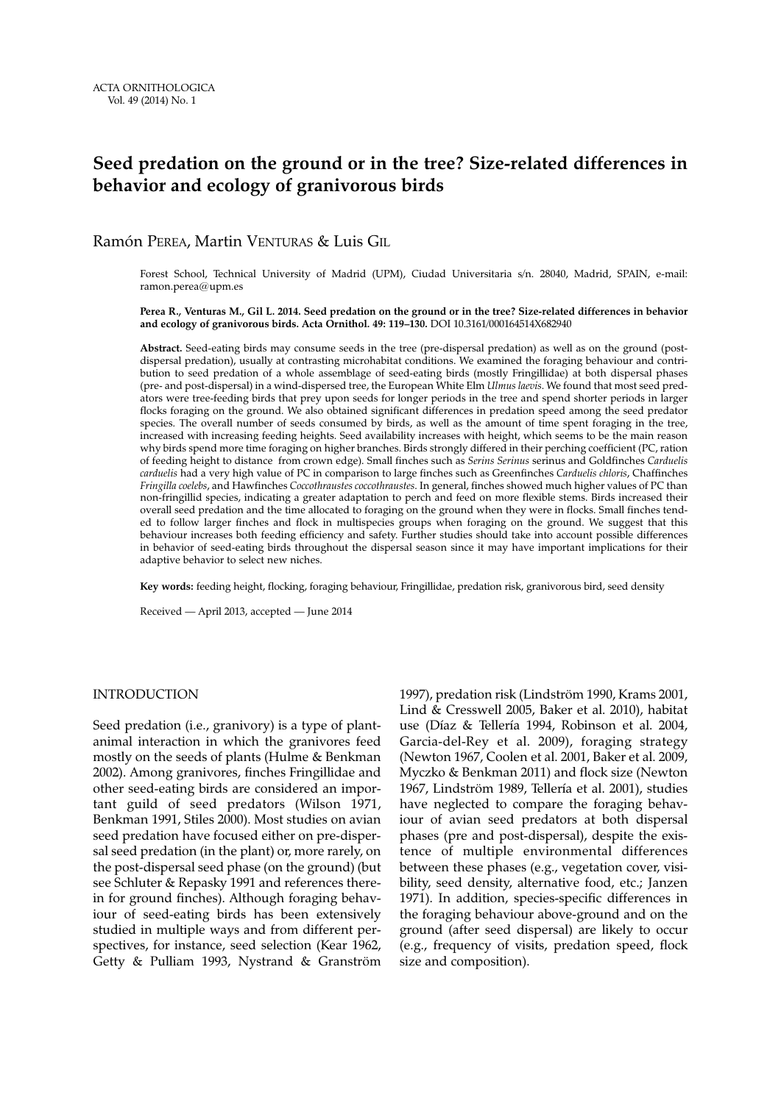# **Seed predation on the ground or in the tree? Size-related differences in behavior and ecology of granivorous birds**

Ramón PEREA, Martin VENTURAS & Luis GIL

Forest School, Technical University of Madrid (UPM), Ciudad Universitaria s/n. 28040, Madrid, SPAIN, e-mail: ramon.perea@upm.es

**Perea R., Venturas M., Gil L. 2014. Seed predation on the ground or in the tree? Size-related differences in behavior and ecology of granivorous birds. Acta Ornithol. 49: 119–130.** DOI 10.3161/000164514X682940

**Abstract.** Seed-eating birds may consume seeds in the tree (pre-dispersal predation) as well as on the ground (postdispersal predation), usually at contrasting microhabitat conditions. We examined the foraging behaviour and contribution to seed predation of a whole assemblage of seed-eating birds (mostly Fringillidae) at both dispersal phases (pre- and post-dispersal) in a wind-dispersed tree, the European White Elm *Ulmus laevis*. We found that most seed predators were tree-feeding birds that prey upon seeds for longer periods in the tree and spend shorter periods in larger flocks foraging on the ground. We also obtained significant differences in predation speed among the seed predator species. The overall number of seeds consumed by birds, as well as the amount of time spent foraging in the tree, increased with increasing feeding heights. Seed availability increases with height, which seems to be the main reason why birds spend more time foraging on higher branches. Birds strongly differed in their perching coefficient (PC, ration of feeding height to distance from crown edge). Small finches such as *Serins Serinus* serinus and Goldfinches *Carduelis carduelis* had a very high value of PC in comparison to large finches such as Greenfinches *Carduelis chloris*, Chaffinches *Fringilla coelebs*, and Hawfinches *Coccothraustes coccothraustes*. In general, finches showed much higher values of PC than non-fringillid species, indicating a greater adaptation to perch and feed on more flexible stems. Birds increased their overall seed predation and the time allocated to foraging on the ground when they were in flocks. Small finches tended to follow larger finches and flock in multispecies groups when foraging on the ground. We suggest that this behaviour increases both feeding efficiency and safety. Further studies should take into account possible differences in behavior of seed-eating birds throughout the dispersal season since it may have important implications for their adaptive behavior to select new niches.

**Key words:** feeding height, flocking, foraging behaviour, Fringillidae, predation risk, granivorous bird, seed density

Received — April 2013, accepted — June 2014

## INTRODUCTION

Seed predation (i.e., granivory) is a type of plantanimal interaction in which the granivores feed mostly on the seeds of plants (Hulme & Benkman 2002). Among granivores, finches Fringillidae and other seed-eating birds are considered an important guild of seed predators (Wilson 1971, Benkman 1991, Stiles 2000). Most studies on avian seed predation have focused either on pre-dispersal seed predation (in the plant) or, more rarely, on the post-dispersal seed phase (on the ground) (but see Schluter & Repasky 1991 and references therein for ground finches). Although foraging behaviour of seed-eating birds has been extensively studied in multiple ways and from different perspectives, for instance, seed selection (Kear 1962, Getty & Pulliam 1993, Nystrand & Granström

1997), predation risk (Lindström 1990, Krams 2001, Lind & Cresswell 2005, Baker et al. 2010), habitat use (Díaz & Tellería 1994, Robinson et al. 2004, Garcia-del-Rey et al. 2009), foraging strategy (Newton 1967, Coolen et al. 2001, Baker et al. 2009, Myczko & Benkman 2011) and flock size (Newton 1967, Lindström 1989, Tellería et al. 2001), studies have neglected to compare the foraging behaviour of avian seed predators at both dispersal phases (pre and post-dispersal), despite the existence of multiple environmental differences between these phases (e.g., vegetation cover, visibility, seed density, alternative food, etc.; Janzen 1971). In addition, species-specific differences in the foraging behaviour above-ground and on the ground (after seed dispersal) are likely to occur (e.g., frequency of visits, predation speed, flock size and composition).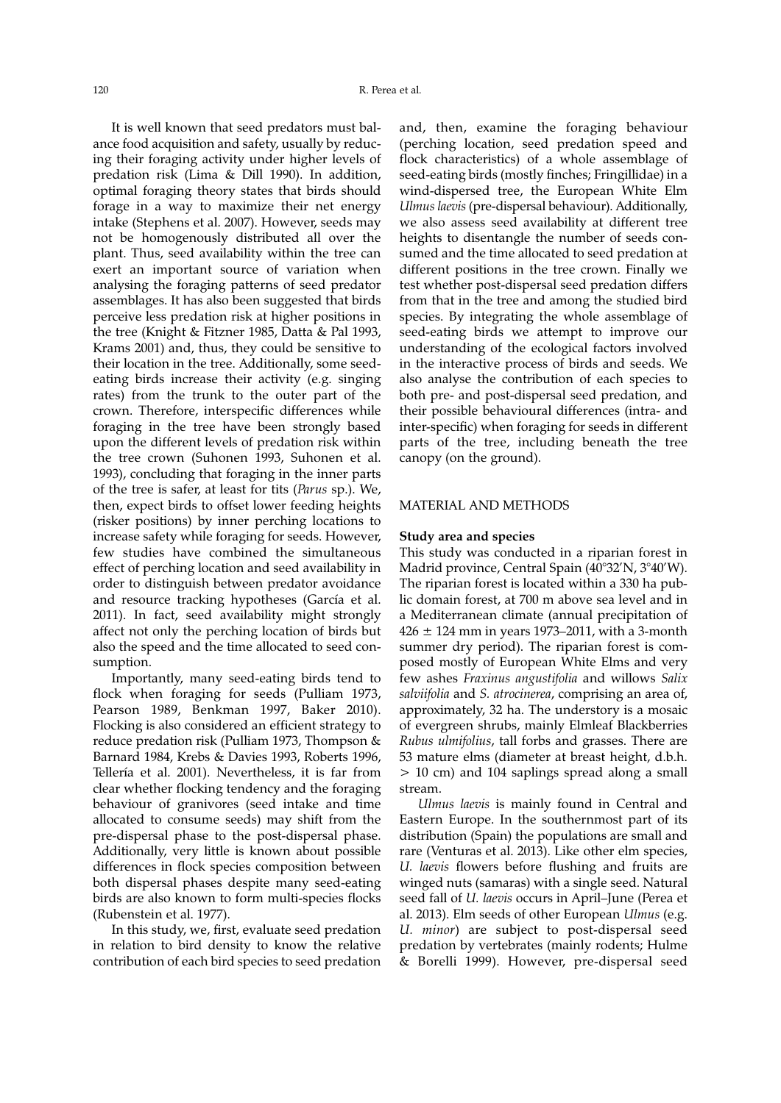It is well known that seed predators must balance food acquisition and safety, usually by reducing their foraging activity under higher levels of predation risk (Lima & Dill 1990). In addition, optimal foraging theory states that birds should forage in a way to maximize their net energy intake (Stephens et al. 2007). However, seeds may not be homogenously distributed all over the plant. Thus, seed availability within the tree can exert an important source of variation when analysing the foraging patterns of seed predator assemblages. It has also been suggested that birds perceive less predation risk at higher positions in the tree (Knight & Fitzner 1985, Datta & Pal 1993, Krams 2001) and, thus, they could be sensitive to their location in the tree. Additionally, some seedeating birds increase their activity (e.g. singing rates) from the trunk to the outer part of the crown. Therefore, interspecific differences while foraging in the tree have been strongly based upon the different levels of predation risk within the tree crown (Suhonen 1993, Suhonen et al. 1993), concluding that foraging in the inner parts of the tree is safer, at least for tits (*Parus* sp.). We, then, expect birds to offset lower feeding heights (risker positions) by inner perching locations to increase safety while foraging for seeds. However, few studies have combined the simultaneous effect of perching location and seed availability in order to distinguish between predator avoidance and resource tracking hypotheses (García et al. 2011). In fact, seed availability might strongly affect not only the perching location of birds but also the speed and the time allocated to seed consumption.

Importantly, many seed-eating birds tend to flock when foraging for seeds (Pulliam 1973, Pearson 1989, Benkman 1997, Baker 2010). Flocking is also considered an efficient strategy to reduce predation risk (Pulliam 1973, Thompson & Barnard 1984, Krebs & Davies 1993, Roberts 1996, Tellería et al. 2001). Nevertheless, it is far from clear whether flocking tendency and the foraging behaviour of granivores (seed intake and time allocated to consume seeds) may shift from the pre-dispersal phase to the post-dispersal phase. Additionally, very little is known about possible differences in flock species composition between both dispersal phases despite many seed-eating birds are also known to form multi-species flocks (Rubenstein et al. 1977).

In this study, we, first, evaluate seed predation in relation to bird density to know the relative contribution of each bird species to seed predation and, then, examine the foraging behaviour (perching location, seed predation speed and flock characteristics) of a whole assemblage of seed-eating birds (mostly finches; Fringillidae) in a wind-dispersed tree, the European White Elm *Ulmus laevis* (pre-dispersal behaviour). Additionally, we also assess seed availability at different tree heights to disentangle the number of seeds consumed and the time allocated to seed predation at different positions in the tree crown. Finally we test whether post-dispersal seed predation differs from that in the tree and among the studied bird species. By integrating the whole assemblage of seed-eating birds we attempt to improve our understanding of the ecological factors involved in the interactive process of birds and seeds. We also analyse the contribution of each species to both pre- and post-dispersal seed predation, and their possible behavioural differences (intra- and inter-specific) when foraging for seeds in different parts of the tree, including beneath the tree canopy (on the ground).

# MATERIAL AND METHODS

# **Study area and species**

This study was conducted in a riparian forest in Madrid province, Central Spain (40°32'N, 3°40'W). The riparian forest is located within a 330 ha public domain forest, at 700 m above sea level and in a Mediterranean climate (annual precipitation of  $426 \pm 124$  mm in years 1973–2011, with a 3-month summer dry period). The riparian forest is composed mostly of European White Elms and very few ashes *Fraxinus angustifolia* and willows *Salix salviifolia* and *S. atrocinerea*, comprising an area of, approximately, 32 ha. The understory is a mosaic of evergreen shrubs, mainly Elmleaf Blackberries *Rubus ulmifolius*, tall forbs and grasses. There are 53 mature elms (diameter at breast height, d.b.h. > 10 cm) and 104 saplings spread along a small stream.

*Ulmus laevis* is mainly found in Central and Eastern Europe. In the southernmost part of its distribution (Spain) the populations are small and rare (Venturas et al. 2013). Like other elm species, *U. laevis* flowers before flushing and fruits are winged nuts (samaras) with a single seed. Natural seed fall of *U. laevis* occurs in April–June (Perea et al. 2013). Elm seeds of other European *Ulmus* (e.g. *U. minor*) are subject to post-dispersal seed predation by vertebrates (mainly rodents; Hulme & Borelli 1999). However, pre-dispersal seed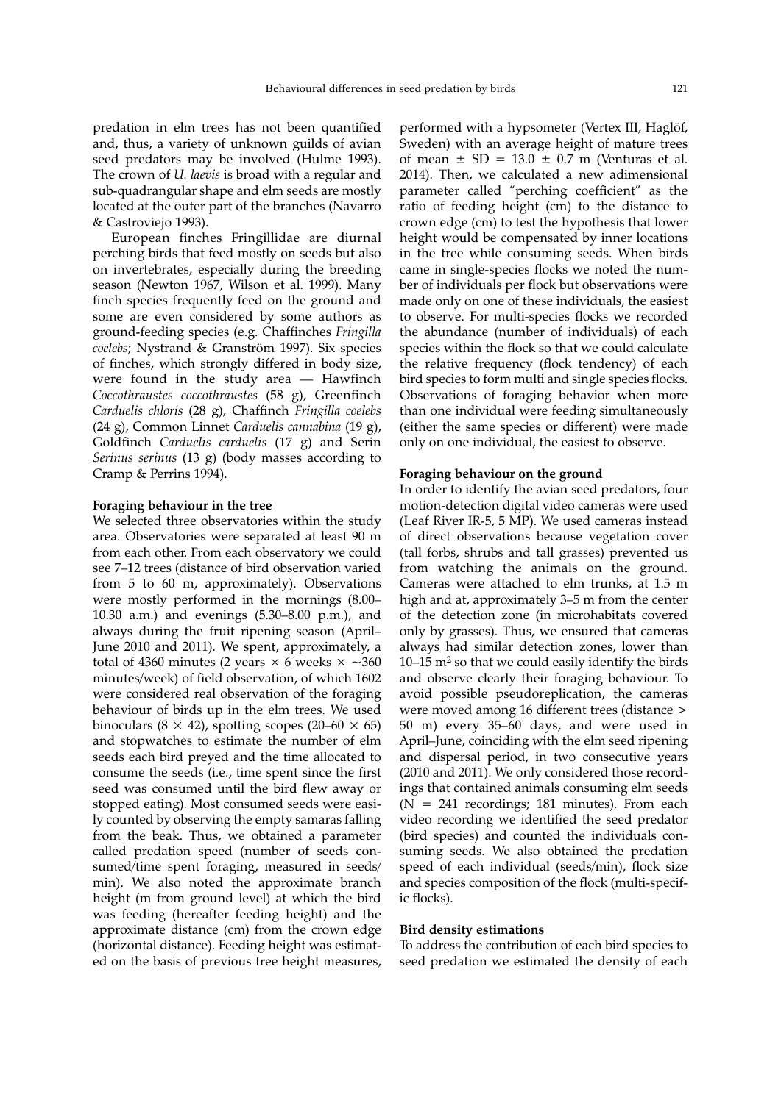predation in elm trees has not been quantified and, thus, a variety of unknown guilds of avian seed predators may be involved (Hulme 1993). The crown of *U. laevis* is broad with a regular and sub-quadrangular shape and elm seeds are mostly located at the outer part of the branches (Navarro & Castroviejo 1993).

European finches Fringillidae are diurnal perching birds that feed mostly on seeds but also on invertebrates, especially during the breeding season (Newton 1967, Wilson et al. 1999). Many finch species frequently feed on the ground and some are even considered by some authors as ground-feeding species (e.g. Chaffinches *Fringilla coelebs*; Nystrand & Granström 1997). Six species of finches, which strongly differed in body size, were found in the study area — Hawfinch *Coccothraustes coccothraustes* (58 g), Greenfinch *Carduelis chloris* (28 g), Chaffinch *Fringilla coelebs* (24 g), Common Linnet *Carduelis cannabina* (19 g), Goldfinch *Carduelis carduelis* (17 g) and Serin *Serinus serinus* (13 g) (body masses according to Cramp & Perrins 1994).

#### **Foraging behaviour in the tree**

We selected three observatories within the study area. Observatories were separated at least 90 m from each other. From each observatory we could see 7–12 trees (distance of bird observation varied from 5 to 60 m, approximately). Observations were mostly performed in the mornings (8.00– 10.30 a.m.) and evenings (5.30–8.00 p.m.), and always during the fruit ripening season (April– June 2010 and 2011). We spent, approximately, a total of 4360 minutes (2 years  $\times$  6 weeks  $\times$  ~360 minutes/week) of field observation, of which 1602 were considered real observation of the foraging behaviour of birds up in the elm trees. We used binoculars  $(8 \times 42)$ , spotting scopes  $(20-60 \times 65)$ and stopwatches to estimate the number of elm seeds each bird preyed and the time allocated to consume the seeds (i.e., time spent since the first seed was consumed until the bird flew away or stopped eating). Most consumed seeds were easily counted by observing the empty samaras falling from the beak. Thus, we obtained a parameter called predation speed (number of seeds consumed/time spent foraging, measured in seeds/ min). We also noted the approximate branch height (m from ground level) at which the bird was feeding (hereafter feeding height) and the approximate distance (cm) from the crown edge (horizontal distance). Feeding height was estimated on the basis of previous tree height measures, performed with a hypsometer (Vertex III, Haglöf, Sweden) with an average height of mature trees of mean  $\pm$  SD = 13.0  $\pm$  0.7 m (Venturas et al. 2014). Then, we calculated a new adimensional parameter called "perching coefficient" as the ratio of feeding height (cm) to the distance to crown edge (cm) to test the hypothesis that lower height would be compensated by inner locations in the tree while consuming seeds. When birds came in single-species flocks we noted the number of individuals per flock but observations were made only on one of these individuals, the easiest to observe. For multi-species flocks we recorded the abundance (number of individuals) of each species within the flock so that we could calculate the relative frequency (flock tendency) of each bird species to form multi and single species flocks. Observations of foraging behavior when more than one individual were feeding simultaneously (either the same species or different) were made only on one individual, the easiest to observe.

#### **Foraging behaviour on the ground**

In order to identify the avian seed predators, four motion-detection digital video cameras were used (Leaf River IR-5, 5 MP). We used cameras instead of direct observations because vegetation cover (tall forbs, shrubs and tall grasses) prevented us from watching the animals on the ground. Cameras were attached to elm trunks, at 1.5 m high and at, approximately 3–5 m from the center of the detection zone (in microhabitats covered only by grasses). Thus, we ensured that cameras always had similar detection zones, lower than 10–15  $\mathrm{m}^2$  so that we could easily identify the birds and observe clearly their foraging behaviour. To avoid possible pseudoreplication, the cameras were moved among 16 different trees (distance > 50 m) every 35–60 days, and were used in April–June, coinciding with the elm seed ripening and dispersal period, in two consecutive years (2010 and 2011). We only considered those recordings that contained animals consuming elm seeds  $(N = 241$  recordings; 181 minutes). From each video recording we identified the seed predator (bird species) and counted the individuals consuming seeds. We also obtained the predation speed of each individual (seeds/min), flock size and species composition of the flock (multi-specific flocks).

## **Bird density estimations**

To address the contribution of each bird species to seed predation we estimated the density of each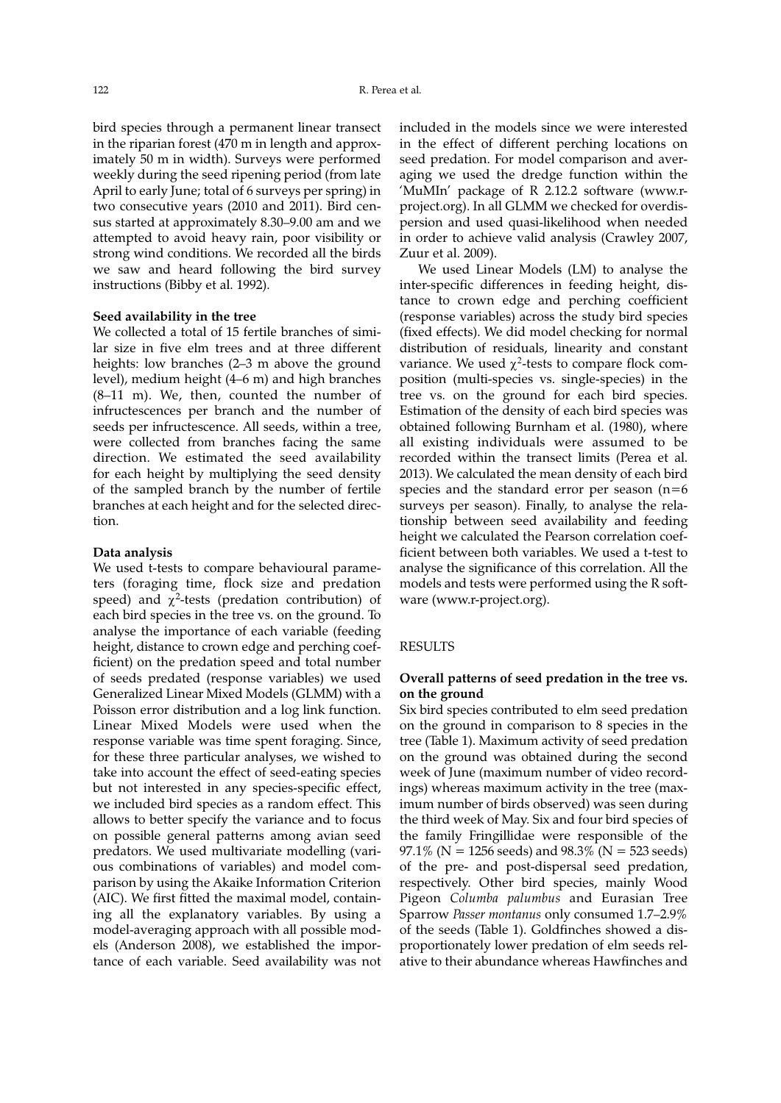bird species through a permanent linear transect in the riparian forest (470 m in length and approximately 50 m in width). Surveys were performed weekly during the seed ripening period (from late April to early June; total of 6 surveys per spring) in two consecutive years (2010 and 2011). Bird census started at approximately 8.30–9.00 am and we attempted to avoid heavy rain, poor visibility or strong wind conditions. We recorded all the birds we saw and heard following the bird survey instructions (Bibby et al. 1992).

## **Seed availability in the tree**

We collected a total of 15 fertile branches of similar size in five elm trees and at three different heights: low branches (2–3 m above the ground level), medium height (4–6 m) and high branches (8–11 m). We, then, counted the number of infructescences per branch and the number of seeds per infructescence. All seeds, within a tree, were collected from branches facing the same direction. We estimated the seed availability for each height by multiplying the seed density of the sampled branch by the number of fertile branches at each height and for the selected direction.

## **Data analysis**

We used t-tests to compare behavioural parameters (foraging time, flock size and predation speed) and  $\chi^2$ -tests (predation contribution) of each bird species in the tree vs. on the ground. To analyse the importance of each variable (feeding height, distance to crown edge and perching coefficient) on the predation speed and total number of seeds predated (response variables) we used Generalized Linear Mixed Models (GLMM) with a Poisson error distribution and a log link function. Linear Mixed Models were used when the response variable was time spent foraging. Since, for these three particular analyses, we wished to take into account the effect of seed-eating species but not interested in any species-specific effect, we included bird species as a random effect. This allows to better specify the variance and to focus on possible general patterns among avian seed predators. We used multivariate modelling (various combinations of variables) and model comparison by using the Akaike Information Criterion (AIC). We first fitted the maximal model, containing all the explanatory variables. By using a model-averaging approach with all possible models (Anderson 2008), we established the importance of each variable. Seed availability was not included in the models since we were interested in the effect of different perching locations on seed predation. For model comparison and averaging we used the dredge function within the 'MuMIn' package of R 2.12.2 software (www.rproject.org). In all GLMM we checked for overdispersion and used quasi-likelihood when needed in order to achieve valid analysis (Crawley 2007, Zuur et al. 2009).

We used Linear Models (LM) to analyse the inter-specific differences in feeding height, distance to crown edge and perching coefficient (response variables) across the study bird species (fixed effects). We did model checking for normal distribution of residuals, linearity and constant variance. We used  $\chi^2$ -tests to compare flock composition (multi-species vs. single-species) in the tree vs. on the ground for each bird species. Estimation of the density of each bird species was obtained following Burnham et al. (1980), where all existing individuals were assumed to be recorded within the transect limits (Perea et al. 2013). We calculated the mean density of each bird species and the standard error per season  $(n=6)$ surveys per season). Finally, to analyse the relationship between seed availability and feeding height we calculated the Pearson correlation coefficient between both variables. We used a t-test to analyse the significance of this correlation. All the models and tests were performed using the R software (www.r-project.org).

## RESULTS

# **Overall patterns of seed predation in the tree vs. on the ground**

Six bird species contributed to elm seed predation on the ground in comparison to 8 species in the tree (Table 1). Maximum activity of seed predation on the ground was obtained during the second week of June (maximum number of video recordings) whereas maximum activity in the tree (maximum number of birds observed) was seen during the third week of May. Six and four bird species of the family Fringillidae were responsible of the 97.1% (N = 1256 seeds) and 98.3% (N = 523 seeds) of the pre- and post-dispersal seed predation, respectively. Other bird species, mainly Wood Pigeon *Columba palumbus* and Eurasian Tree Sparrow *Passer montanus* only consumed 1.7–2.9% of the seeds (Table 1). Goldfinches showed a disproportionately lower predation of elm seeds relative to their abundance whereas Hawfinches and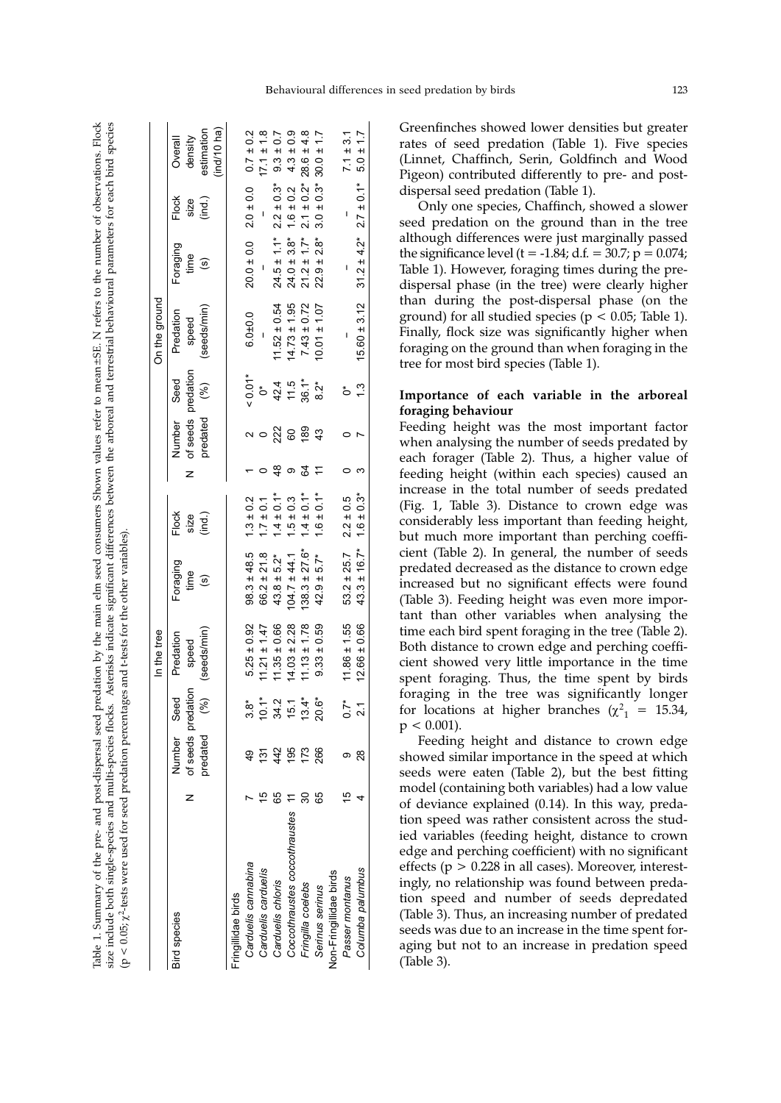| ć<br>i<br>$+$ obsampted $+$                                          |                                                                  |                                 |
|----------------------------------------------------------------------|------------------------------------------------------------------|---------------------------------|
|                                                                      |                                                                  |                                 |
| " sumers Shown values refer to mean ±SE. N refers to the number or . | preal and terrestrial behavioural parameters for each hird spec- |                                 |
|                                                                      | ces between the arboreal and                                     |                                 |
| ;                                                                    |                                                                  | ו<br>ו                          |
| predation by the main elm seed co                                    | -vs. Asterisks indicate significant difform<br>יל המיי המיי      |                                 |
| j                                                                    |                                                                  | cages and t-tests for the other |
| ie pre- and post-disper                                              |                                                                  | is the control<br>そくくくち         |
|                                                                      | e hoth single-species and multi-speci-<br>ĺ                      |                                 |
|                                                                      | )<br>J<br>$\sim$                                                 |                                 |

|                               |    |           |                                 | In the tree                                          |                    |                            |    |                    |                       | On the ground    |                              |                            |                |
|-------------------------------|----|-----------|---------------------------------|------------------------------------------------------|--------------------|----------------------------|----|--------------------|-----------------------|------------------|------------------------------|----------------------------|----------------|
| <b>Bird</b> species           |    |           | Number<br>Seed                  | Predation                                            | Foraging           | Flock                      |    | Number Seed        |                       | Predation        | Foraging                     | Flock                      | Overall        |
|                               | z  |           |                                 |                                                      | time               |                            |    | of seeds predation |                       | speed            | time                         | size                       | density        |
|                               |    |           |                                 | of seeds predation speed<br>predated (%) (seeds/min) | $\circledcirc$     | size<br>(ind.)             |    | predated (%)       |                       | (seeds/min)      | $\odot$                      | (ind.)                     | estimation     |
|                               |    |           |                                 |                                                      |                    |                            |    |                    |                       |                  |                              |                            | $(ind/10$ ha)  |
| Fringillidae birds            |    |           |                                 |                                                      |                    |                            |    |                    |                       |                  |                              |                            |                |
| Carduelis cannabina           |    |           |                                 | $5.25 \pm 0.92$                                      | $98.3 \pm 48.5$    | $1.3 \pm 0.2$              |    |                    | $10.01*$              | $0.0 + 0.0$      | $20.0 \pm 0.0$               | $2.0\pm0.0$                | $0.7 \pm 0.2$  |
| Carduelis carduelis           |    | <u> 일</u> | ន<br>១ <del>1</del><br>១ 3<br>3 | $11.21 \pm 1.47$                                     | $66.2 \pm 21.8$    | $1.7 \pm 0.1$              |    |                    | $\rm\mathring{\circ}$ |                  |                              | I                          | $17.1 \pm 1.8$ |
| Carduelis chloris             |    | 442       |                                 | $11.35 \pm 0.66$                                     | $43.8 \pm 5.2$ *   | $1.4 \pm 0.1$ <sup>*</sup> | \$ |                    |                       | $11.52 \pm 0.54$ | $24.5 \pm 1.1$ $2.2 \pm 0.3$ |                            | $9.3 \pm 0.7$  |
| Coccothraustes coccothraustes |    | 195       |                                 | $14.03 \pm 2.28$                                     | $104.7 \pm 44.1$   | $1.5 \pm 0.3$              | თ  | 2289               | 42.4<br>11.5          | $14.73 \pm 1.95$ | $24.0 \pm 3.8$ <sup>*</sup>  | $1.6 \pm 0.2$              | $4.3 \pm 0.9$  |
| Fringilla coelebs             |    | 173       | $15.1$<br>$13.4$ *<br>$20.6$ *  | $11.13 \pm 1.78$                                     | $138.3 \pm 27.6^*$ | $1.4 \pm 0.1$ <sup>*</sup> | 2  |                    | $36.1*$               | $7.43 \pm 0.72$  | $21.2 \pm 1.7*$              | $2.1 \pm 0.2$ <sup>*</sup> | $28.6 \pm 4.8$ |
| Serinus serinus               | 65 | 266       |                                 | $9.33 \pm 0.59$                                      | $42.9 \pm 5.7$ *   | $1.6 \pm 0.1$ <sup>*</sup> | ≂  | $\frac{3}{4}$      | $\frac{8}{2}$         | $10.01 \pm 1.07$ | $22.9 \pm 2.8$ *             | $3.0 \pm 0.3$ <sup>*</sup> | $30.0 \pm 1.7$ |
| Non-Fringillidae birds        |    |           |                                 |                                                      |                    |                            |    |                    |                       |                  |                              |                            |                |
| Passer montanus               | 15 |           | $\frac{1}{2}$ $\frac{1}{2}$     | $11.86 \pm 1.55$                                     | $53.2 \pm 25.7$    | $2.2 \pm 0.5$              |    |                    | ő                     | $\overline{a}$   |                              | $\mathsf{I}$               | $7.1 \pm 3.1$  |
| Columba palumbus              |    | 28        |                                 | $12.66 \pm 0.66$                                     | $43.3 \pm 16.7$ *  | $1.6 \pm 0.3$ <sup>*</sup> |    |                    | 13                    | $15.60 \pm 3.12$ | $31.2 \pm 4.2^*$ 2.7 ± 0.1*  |                            | $5.0 \pm 1.7$  |

Greenfinches showed lower densities but greater rates of seed predation (Table 1). Five species (Linnet, Chaffinch, Serin, Goldfinch and Wood Pigeon) contributed differently to pre- and postdispersal seed predation (Table 1).

Only one species, Chaffinch, showed a slower seed predation on the ground than in the tree although differences were just marginally passed the significance level (t = -1.84; d.f. = 30.7;  $p = 0.074$ ; Table 1). However, foraging times during the predispersal phase (in the tree) were clearly higher than during the post-dispersal phase (on the ground) for all studied species ( $p < 0.05$ ; Table 1). Finally, flock size was significantly higher when foraging on the ground than when foraging in the tree for most bird species (Table 1).

# **Importance of each variable in the arboreal foraging behaviour**

Feeding height was the most important factor when analysing the number of seeds predated by each forager (Table 2). Thus, a higher value of feeding height (within each species) caused an increase in the total number of seeds predated (Fig. 1, Table 3). Distance to crown edge was considerably less important than feeding height, but much more important than perching coefficient (Table 2). In general, the number of seeds predated decreased as the distance to crown edge increased but no significant effects were found (Table 3). Feeding height was even more important than other variables when analysing the time each bird spent foraging in the tree (Table 2). Both distance to crown edge and perching coefficient showed very little importance in the time spent foraging. Thus, the time spent by birds foraging in the tree was significantly longer for locations at higher branches ( $\chi^2$ <sub>1</sub> = 15.34,  $p < 0.001$ ).

Feeding height and distance to crown edge showed similar importance in the speed at which seeds were eaten (Table 2), but the best fitting model (containing both variables) had a low value of deviance explained (0.14). In this way, predation speed was rather consistent across the studied variables (feeding height, distance to crown edge and perching coefficient) with no significant effects ( $p > 0.228$  in all cases). Moreover, interestingly, no relationship was found between predation speed and number of seeds depredated (Table 3). Thus, an increasing number of predated seeds was due to an increase in the time spent foraging but not to an increase in predation speed (Table 3).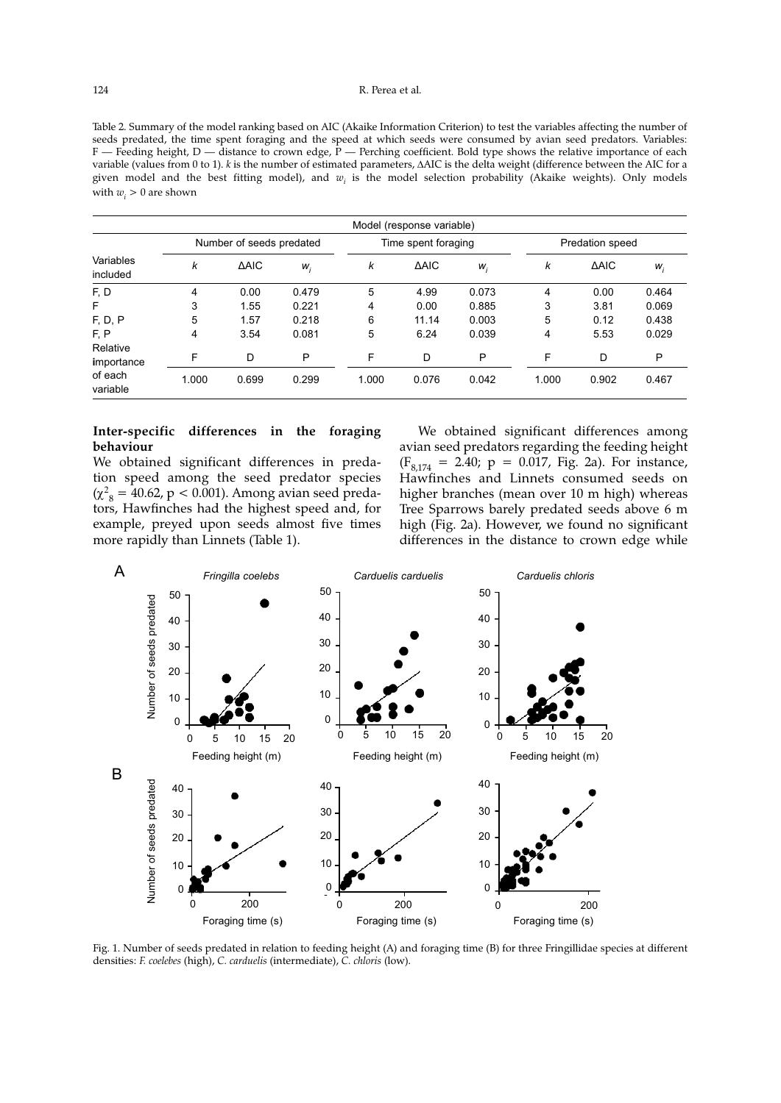Table 2. Summary of the model ranking based on AIC (Akaike Information Criterion) to test the variables affecting the number of seeds predated, the time spent foraging and the speed at which seeds were consumed by avian seed predators. Variables: F — Feeding height, D — distance to crown edge, P — Perching coefficient. Bold type shows the relative importance of each variable (values from 0 to 1). *k* is the number of estimated parameters, ΔAIC is the delta weight (difference between the AIC for a given model and the best fitting model), and  $w_i$  is the model selection probability (Akaike weights). Only models with  $w_i > 0$  are shown

|                        |       |                          |       |       | Model (response variable) |       |       |                 |       |
|------------------------|-------|--------------------------|-------|-------|---------------------------|-------|-------|-----------------|-------|
|                        |       | Number of seeds predated |       |       | Time spent foraging       |       |       | Predation speed |       |
| Variables<br>included  | k     | <b>AAIC</b>              | $W_i$ | k     | <b>AAIC</b>               | W,    | k     | <b>AAIC</b>     | $W_i$ |
| F, D                   | 4     | 0.00                     | 0.479 | 5     | 4.99                      | 0.073 | 4     | 0.00            | 0.464 |
| F                      | 3     | 1.55                     | 0.221 | 4     | 0.00                      | 0.885 | 3     | 3.81            | 0.069 |
| F, D, P                | 5     | 1.57                     | 0.218 | 6     | 11.14                     | 0.003 | 5     | 0.12            | 0.438 |
| F.P                    | 4     | 3.54                     | 0.081 | 5     | 6.24                      | 0.039 | 4     | 5.53            | 0.029 |
| Relative<br>importance | F     | D                        | P     | F     | D                         | P     | F     | D               | P     |
| of each<br>variable    | 1.000 | 0.699                    | 0.299 | 1.000 | 0.076                     | 0.042 | 1.000 | 0.902           | 0.467 |

# **Inter-specific differences in the foraging behaviour**

We obtained significant differences in predation speed among the seed predator species  $(\chi^2_{8} = 40.62, p < 0.001)$ . Among avian seed predators, Hawfinches had the highest speed and, for example, preyed upon seeds almost five times more rapidly than Linnets (Table 1).

We obtained significant differences among avian seed predators regarding the feeding height  $(F_{8,174} = 2.40; p = 0.017, Fig. 2a)$ . For instance, Hawfinches and Linnets consumed seeds on higher branches (mean over 10 m high) whereas Tree Sparrows barely predated seeds above 6 m high (Fig. 2a). However, we found no significant differences in the distance to crown edge while



Fig. 1. Number of seeds predated in relation to feeding height (A) and foraging time (B) for three Fringillidae species at different densities: *F. coelebes* (high), *C. carduelis* (intermediate), *C. chloris* (low).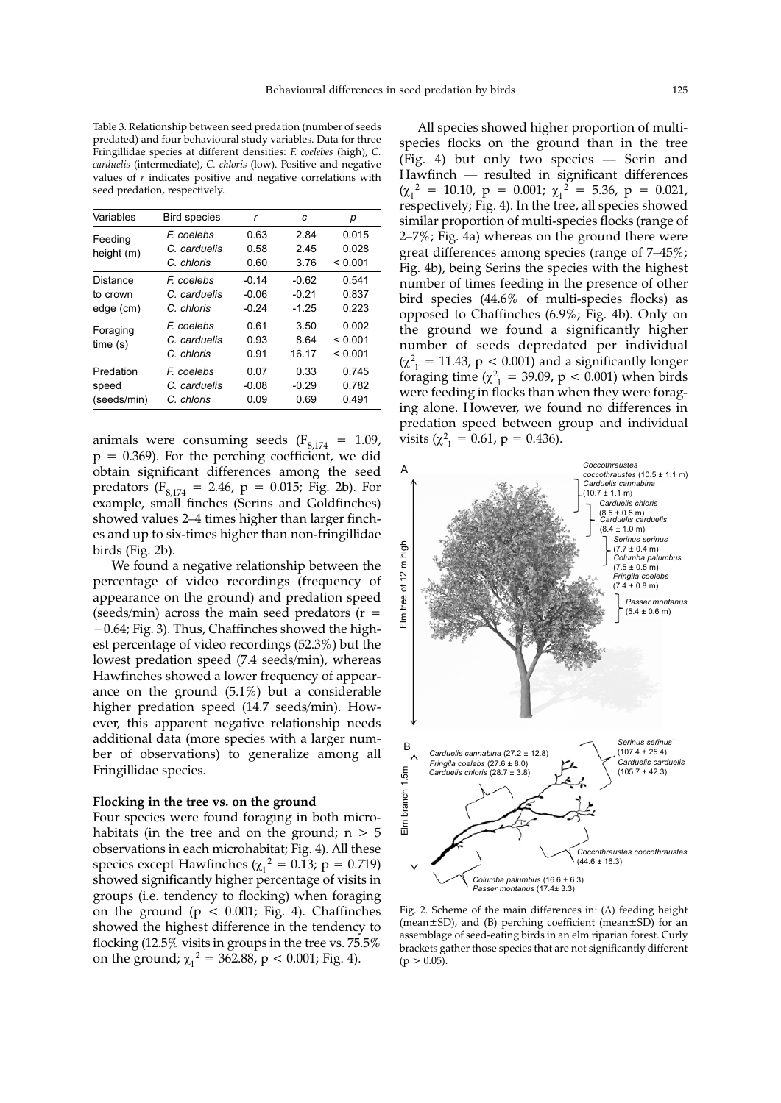Table 3. Relationship between seed predation (number of seeds predated) and four behavioural study variables. Data for three Fringillidae species at different densities: *F. coelebes* (high), *C. carduelis* (intermediate), *C. chloris* (low). Positive and negative values of *r* indicates positive and negative correlations with seed predation, respectively.

| Variables   | <b>Bird species</b> | r       | C       | р       |
|-------------|---------------------|---------|---------|---------|
| Feeding     | F. coelebs          | 0.63    | 2.84    | 0.015   |
| height (m)  | C. carduelis        | 0.58    | 2.45    | 0.028   |
|             | C. chloris          | 0.60    | 3.76    | < 0.001 |
| Distance    | F. coelebs          | $-0.14$ | $-0.62$ | 0.541   |
| to crown    | C. carduelis        | $-0.06$ | -0.21   | 0.837   |
| edge (cm)   | C. chloris          | $-0.24$ | -1.25   | 0.223   |
| Foraging    | F. coelebs          | 0.61    | 3.50    | 0.002   |
| time(s)     | C. carduelis        | 0.93    | 8.64    | < 0.001 |
|             | C. chloris          | 0.91    | 16.17   | < 0.001 |
| Predation   | F. coelebs          | 0.07    | 0.33    | 0.745   |
| speed       | C. carduelis        | -0.08   | $-0.29$ | 0.782   |
| (seeds/min) | C. chloris          | 0.09    | 0.69    | 0.491   |
|             |                     |         |         |         |

animals were consuming seeds ( $F_{8,174} = 1.09$ ,  $p = 0.369$ ). For the perching coefficient, we did obtain significant differences among the seed predators ( $F_{8,174} = 2.46$ ,  $p = 0.015$ ; Fig. 2b). For example, small finches (Serins and Goldfinches) showed values 2–4 times higher than larger finches and up to six-times higher than non-fringillidae birds (Fig. 2b).

We found a negative relationship between the percentage of video recordings (frequency of appearance on the ground) and predation speed (seeds/min) across the main seed predators  $(r =$ −0.64; Fig. 3). Thus, Chaffinches showed the highest percentage of video recordings (52.3%) but the lowest predation speed (7.4 seeds/min), whereas Hawfinches showed a lower frequency of appearance on the ground (5.1%) but a considerable higher predation speed (14.7 seeds/min). However, this apparent negative relationship needs additional data (more species with a larger number of observations) to generalize among all Fringillidae species.

## **Flocking in the tree vs. on the ground**

Four species were found foraging in both microhabitats (in the tree and on the ground;  $n > 5$ observations in each microhabitat; Fig. 4). All these species except Hawfinches  $(\chi_1^2 = 0.13; p = 0.719)$ showed significantly higher percentage of visits in groups (i.e. tendency to flocking) when foraging on the ground ( $p < 0.001$ ; Fig. 4). Chaffinches showed the highest difference in the tendency to flocking (12.5% visits in groups in the tree vs. 75.5% on the ground;  $\chi_1^2 = 362.88$ , p < 0.001; Fig. 4).

All species showed higher proportion of multispecies flocks on the ground than in the tree (Fig. 4) but only two species — Serin and Hawfinch — resulted in significant differences  $(\chi_1^2 = 10.10, p = 0.001; \chi_1^2 = 5.36, p = 0.021,$ respectively; Fig. 4). In the tree, all species showed similar proportion of multi-species flocks (range of 2–7%; Fig. 4a) whereas on the ground there were great differences among species (range of 7–45%; Fig. 4b), being Serins the species with the highest number of times feeding in the presence of other bird species (44.6% of multi-species flocks) as opposed to Chaffinches (6.9%; Fig. 4b). Only on the ground we found a significantly higher number of seeds depredated per individual  $(\chi^2)$  = 11.43, p < 0.001) and a significantly longer foraging time  $(\chi^2)$  = 39.09, p < 0.001) when birds were feeding in flocks than when they were foraging alone. However, we found no differences in predation speed between group and individual visits  $(\chi^2_{1} = 0.61, p = 0.436)$ .



Fig. 2. Scheme of the main differences in: (A) feeding height (mean $\pm$ SD), and (B) perching coefficient (mean $\pm$ SD) for an assemblage of seed-eating birds in an elm riparian forest. Curly brackets gather those species that are not significantly different  $(p > 0.05)$ .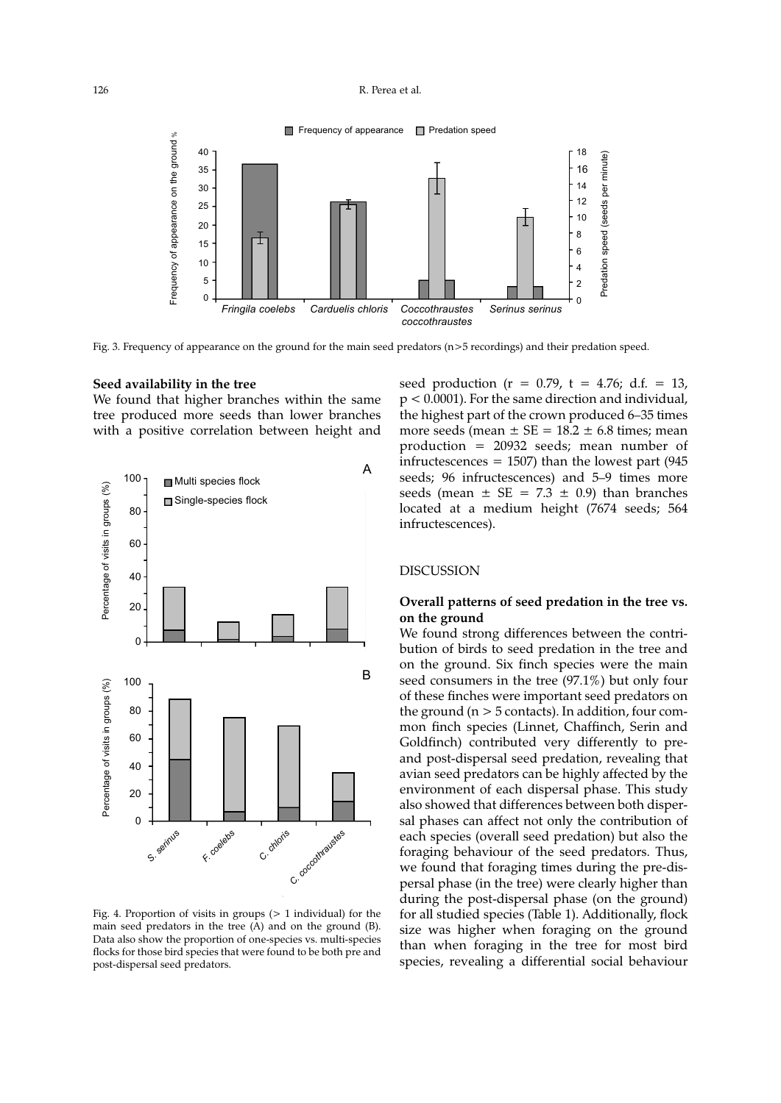#### 126 R. Perea et al.



Fig. 3. Frequency of appearance on the ground for the main seed predators (n>5 recordings) and their predation speed.

#### **Seed availability in the tree**

We found that higher branches within the same tree produced more seeds than lower branches with a positive correlation between height and



Fig. 4. Proportion of visits in groups (> 1 individual) for the main seed predators in the tree (A) and on the ground (B). Data also show the proportion of one-species vs. multi-species flocks for those bird species that were found to be both pre and post-dispersal seed predators.

seed production ( $r = 0.79$ ,  $t = 4.76$ ; d.f. = 13, p < 0.0001). For the same direction and individual, the highest part of the crown produced 6–35 times more seeds (mean  $\pm$  SE = 18.2  $\pm$  6.8 times; mean production = 20932 seeds; mean number of infructescences  $= 1507$ ) than the lowest part (945) seeds; 96 infructescences) and 5–9 times more seeds (mean  $\pm$  SE = 7.3  $\pm$  0.9) than branches located at a medium height (7674 seeds; 564 infructescences).

## DISCUSSION

# **Overall patterns of seed predation in the tree vs. on the ground**

We found strong differences between the contribution of birds to seed predation in the tree and on the ground. Six finch species were the main seed consumers in the tree (97.1%) but only four of these finches were important seed predators on the ground  $(n > 5$  contacts). In addition, four common finch species (Linnet, Chaffinch, Serin and Goldfinch) contributed very differently to preand post-dispersal seed predation, revealing that avian seed predators can be highly affected by the environment of each dispersal phase. This study also showed that differences between both dispersal phases can affect not only the contribution of each species (overall seed predation) but also the foraging behaviour of the seed predators. Thus, we found that foraging times during the pre-dispersal phase (in the tree) were clearly higher than during the post-dispersal phase (on the ground) for all studied species (Table 1). Additionally, flock size was higher when foraging on the ground than when foraging in the tree for most bird species, revealing a differential social behaviour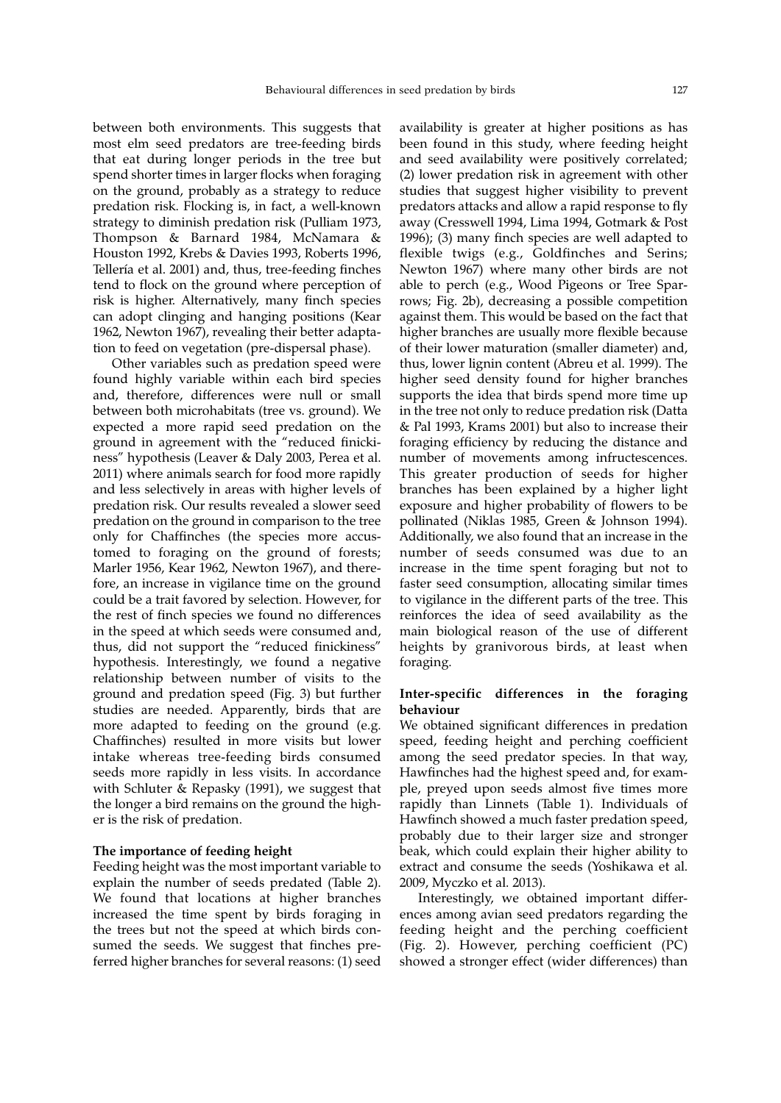between both environments. This suggests that most elm seed predators are tree-feeding birds that eat during longer periods in the tree but spend shorter times in larger flocks when foraging on the ground, probably as a strategy to reduce predation risk. Flocking is, in fact, a well-known strategy to diminish predation risk (Pulliam 1973, Thompson & Barnard 1984, McNamara & Houston 1992, Krebs & Davies 1993, Roberts 1996, Tellería et al. 2001) and, thus, tree-feeding finches tend to flock on the ground where perception of risk is higher. Alternatively, many finch species can adopt clinging and hanging positions (Kear 1962, Newton 1967), revealing their better adaptation to feed on vegetation (pre-dispersal phase).

Other variables such as predation speed were found highly variable within each bird species and, therefore, differences were null or small between both microhabitats (tree vs. ground). We expected a more rapid seed predation on the ground in agreement with the "reduced finickiness" hypothesis (Leaver & Daly 2003, Perea et al. 2011) where animals search for food more rapidly and less selectively in areas with higher levels of predation risk. Our results revealed a slower seed predation on the ground in comparison to the tree only for Chaffinches (the species more accustomed to foraging on the ground of forests; Marler 1956, Kear 1962, Newton 1967), and therefore, an increase in vigilance time on the ground could be a trait favored by selection. However, for the rest of finch species we found no differences in the speed at which seeds were consumed and, thus, did not support the "reduced finickiness" hypothesis. Interestingly, we found a negative relationship between number of visits to the ground and predation speed (Fig. 3) but further studies are needed. Apparently, birds that are more adapted to feeding on the ground (e.g. Chaffinches) resulted in more visits but lower intake whereas tree-feeding birds consumed seeds more rapidly in less visits. In accordance with Schluter & Repasky (1991), we suggest that the longer a bird remains on the ground the higher is the risk of predation.

# **The importance of feeding height**

Feeding height was the most important variable to explain the number of seeds predated (Table 2). We found that locations at higher branches increased the time spent by birds foraging in the trees but not the speed at which birds consumed the seeds. We suggest that finches preferred higher branches for several reasons: (1) seed availability is greater at higher positions as has been found in this study, where feeding height and seed availability were positively correlated; (2) lower predation risk in agreement with other studies that suggest higher visibility to prevent predators attacks and allow a rapid response to fly away (Cresswell 1994, Lima 1994, Gotmark & Post 1996); (3) many finch species are well adapted to flexible twigs (e.g., Goldfinches and Serins; Newton 1967) where many other birds are not able to perch (e.g., Wood Pigeons or Tree Sparrows; Fig. 2b), decreasing a possible competition against them. This would be based on the fact that higher branches are usually more flexible because of their lower maturation (smaller diameter) and, thus, lower lignin content (Abreu et al. 1999). The higher seed density found for higher branches supports the idea that birds spend more time up in the tree not only to reduce predation risk (Datta & Pal 1993, Krams 2001) but also to increase their foraging efficiency by reducing the distance and number of movements among infructescences. This greater production of seeds for higher branches has been explained by a higher light exposure and higher probability of flowers to be pollinated (Niklas 1985, Green & Johnson 1994). Additionally, we also found that an increase in the number of seeds consumed was due to an increase in the time spent foraging but not to faster seed consumption, allocating similar times to vigilance in the different parts of the tree. This reinforces the idea of seed availability as the main biological reason of the use of different heights by granivorous birds, at least when foraging.

# **Inter-specific differences in the foraging behaviour**

We obtained significant differences in predation speed, feeding height and perching coefficient among the seed predator species. In that way, Hawfinches had the highest speed and, for example, preyed upon seeds almost five times more rapidly than Linnets (Table 1). Individuals of Hawfinch showed a much faster predation speed, probably due to their larger size and stronger beak, which could explain their higher ability to extract and consume the seeds (Yoshikawa et al. 2009, Myczko et al. 2013).

Interestingly, we obtained important differences among avian seed predators regarding the feeding height and the perching coefficient (Fig. 2). However, perching coefficient (PC) showed a stronger effect (wider differences) than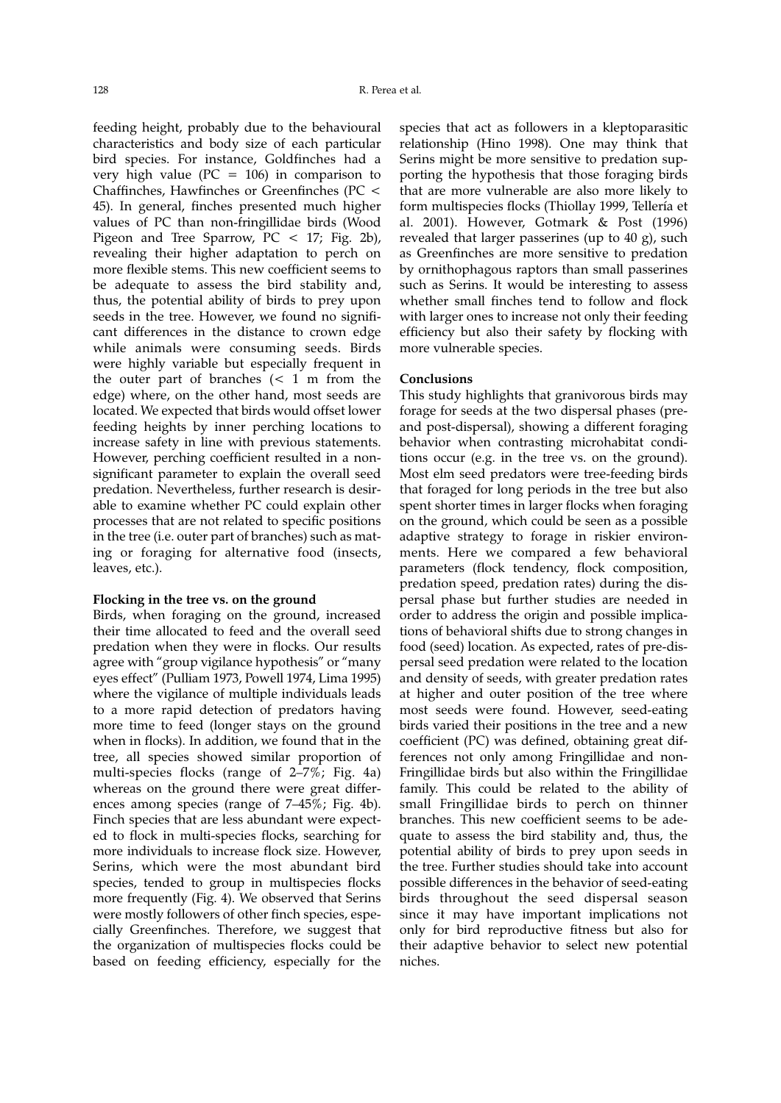feeding height, probably due to the behavioural characteristics and body size of each particular bird species. For instance, Goldfinches had a very high value ( $PC = 106$ ) in comparison to Chaffinches, Hawfinches or Greenfinches (PC  $\leq$ 45). In general, finches presented much higher values of PC than non-fringillidae birds (Wood Pigeon and Tree Sparrow,  $PC < 17$ ; Fig. 2b), revealing their higher adaptation to perch on more flexible stems. This new coefficient seems to be adequate to assess the bird stability and, thus, the potential ability of birds to prey upon seeds in the tree. However, we found no significant differences in the distance to crown edge while animals were consuming seeds. Birds were highly variable but especially frequent in the outer part of branches  $\left($  < 1 m from the edge) where, on the other hand, most seeds are located. We expected that birds would offset lower feeding heights by inner perching locations to increase safety in line with previous statements. However, perching coefficient resulted in a nonsignificant parameter to explain the overall seed predation. Nevertheless, further research is desirable to examine whether PC could explain other processes that are not related to specific positions in the tree (i.e. outer part of branches) such as mating or foraging for alternative food (insects, leaves, etc.).

## **Flocking in the tree vs. on the ground**

Birds, when foraging on the ground, increased their time allocated to feed and the overall seed predation when they were in flocks. Our results agree with "group vigilance hypothesis" or "many eyes effect" (Pulliam 1973, Powell 1974, Lima 1995) where the vigilance of multiple individuals leads to a more rapid detection of predators having more time to feed (longer stays on the ground when in flocks). In addition, we found that in the tree, all species showed similar proportion of multi-species flocks (range of 2–7%; Fig. 4a) whereas on the ground there were great differences among species (range of 7–45%; Fig. 4b). Finch species that are less abundant were expected to flock in multi-species flocks, searching for more individuals to increase flock size. However, Serins, which were the most abundant bird species, tended to group in multispecies flocks more frequently (Fig. 4). We observed that Serins were mostly followers of other finch species, especially Greenfinches. Therefore, we suggest that the organization of multispecies flocks could be based on feeding efficiency, especially for the

species that act as followers in a kleptoparasitic relationship (Hino 1998). One may think that Serins might be more sensitive to predation supporting the hypothesis that those foraging birds that are more vulnerable are also more likely to form multispecies flocks (Thiollay 1999, Tellería et al. 2001). However, Gotmark & Post (1996) revealed that larger passerines (up to 40 g), such as Greenfinches are more sensitive to predation by ornithophagous raptors than small passerines such as Serins. It would be interesting to assess whether small finches tend to follow and flock with larger ones to increase not only their feeding efficiency but also their safety by flocking with more vulnerable species.

### **Conclusions**

This study highlights that granivorous birds may forage for seeds at the two dispersal phases (preand post-dispersal), showing a different foraging behavior when contrasting microhabitat conditions occur (e.g. in the tree vs. on the ground). Most elm seed predators were tree-feeding birds that foraged for long periods in the tree but also spent shorter times in larger flocks when foraging on the ground, which could be seen as a possible adaptive strategy to forage in riskier environments. Here we compared a few behavioral parameters (flock tendency, flock composition, predation speed, predation rates) during the dispersal phase but further studies are needed in order to address the origin and possible implications of behavioral shifts due to strong changes in food (seed) location. As expected, rates of pre-dispersal seed predation were related to the location and density of seeds, with greater predation rates at higher and outer position of the tree where most seeds were found. However, seed-eating birds varied their positions in the tree and a new coefficient (PC) was defined, obtaining great differences not only among Fringillidae and non-Fringillidae birds but also within the Fringillidae family. This could be related to the ability of small Fringillidae birds to perch on thinner branches. This new coefficient seems to be adequate to assess the bird stability and, thus, the potential ability of birds to prey upon seeds in the tree. Further studies should take into account possible differences in the behavior of seed-eating birds throughout the seed dispersal season since it may have important implications not only for bird reproductive fitness but also for their adaptive behavior to select new potential niches.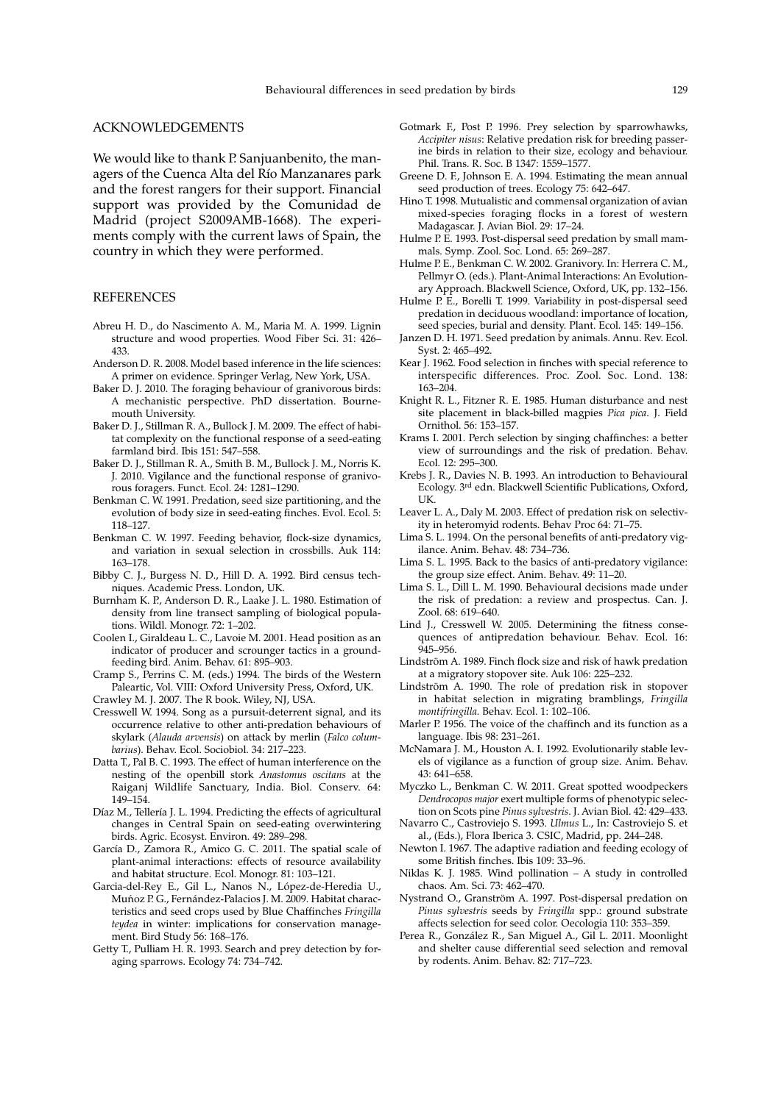## ACKNOWLEDGEMENTS

We would like to thank P. Sanjuanbenito, the managers of the Cuenca Alta del Río Manzanares park and the forest rangers for their support. Financial support was provided by the Comunidad de Madrid (project S2009AMB-1668). The experiments comply with the current laws of Spain, the country in which they were performed.

# REFERENCES

- Abreu H. D., do Nascimento A. M., Maria M. A. 1999. Lignin structure and wood properties. Wood Fiber Sci. 31: 426– 433.
- Anderson D. R. 2008. Model based inference in the life sciences: A primer on evidence. Springer Verlag, New York, USA.
- Baker D. J. 2010. The foraging behaviour of granivorous birds: A mechanistic perspective. PhD dissertation. Bournemouth University.
- Baker D. J., Stillman R. A., Bullock J. M. 2009. The effect of habitat complexity on the functional response of a seed-eating farmland bird. Ibis 151: 547–558.
- Baker D. J., Stillman R. A., Smith B. M., Bullock J. M., Norris K. J. 2010. Vigilance and the functional response of granivorous foragers. Funct. Ecol. 24: 1281–1290.
- Benkman C. W. 1991. Predation, seed size partitioning, and the evolution of body size in seed-eating finches. Evol. Ecol. 5: 118–127.
- Benkman C. W. 1997. Feeding behavior, flock-size dynamics, and variation in sexual selection in crossbills. Auk 114: 163–178.
- Bibby C. J., Burgess N. D., Hill D. A. 1992. Bird census techniques. Academic Press. London, UK.
- Burnham K. P., Anderson D. R., Laake J. L. 1980. Estimation of density from line transect sampling of biological populations. Wildl. Monogr. 72: 1–202.
- Coolen I., Giraldeau L. C., Lavoie M. 2001. Head position as an indicator of producer and scrounger tactics in a groundfeeding bird. Anim. Behav. 61: 895–903.
- Cramp S., Perrins C. M. (eds.) 1994. The birds of the Western Paleartic, Vol. VIII: Oxford University Press, Oxford, UK.
- Crawley M. J. 2007. The R book. Wiley, NJ, USA.
- Cresswell W. 1994. Song as a pursuit-deterrent signal, and its occurrence relative to other anti-predation behaviours of skylark (*Alauda arvensis*) on attack by merlin (*Falco columbarius*). Behav. Ecol. Sociobiol. 34: 217–223.
- Datta T., Pal B. C. 1993. The effect of human interference on the nesting of the openbill stork *Anastomus oscitans* at the Raiganj Wildlife Sanctuary, India. Biol. Conserv. 64: 149–154.
- Díaz M., Tellería J. L. 1994. Predicting the effects of agricultural changes in Central Spain on seed-eating overwintering birds. Agric. Ecosyst. Environ. 49: 289–298.
- García D., Zamora R., Amico G. C. 2011. The spatial scale of plant-animal interactions: effects of resource availability and habitat structure. Ecol. Monogr. 81: 103–121.
- Garcia-del-Rey E., Gil L., Nanos N., López-de-Heredia U., Muńoz P. G., Fernández-Palacios J. M. 2009. Habitat characteristics and seed crops used by Blue Chaffinches *Fringilla teydea* in winter: implications for conservation management. Bird Study 56: 168–176.
- Getty T., Pulliam H. R. 1993. Search and prey detection by foraging sparrows. Ecology 74: 734–742.
- Gotmark F., Post P. 1996. Prey selection by sparrowhawks, *Accipiter nisus*: Relative predation risk for breeding passerine birds in relation to their size, ecology and behaviour. Phil. Trans. R. Soc. B 1347: 1559–1577.
- Greene D. F., Johnson E. A. 1994. Estimating the mean annual seed production of trees. Ecology 75: 642–647.
- Hino T. 1998. Mutualistic and commensal organization of avian mixed-species foraging flocks in a forest of western Madagascar. J. Avian Biol. 29: 17–24.
- Hulme P. E. 1993. Post-dispersal seed predation by small mammals. Symp. Zool. Soc. Lond. 65: 269–287.
- Hulme P. E., Benkman C. W. 2002. Granivory. In: Herrera C. M., Pellmyr O. (eds.). Plant-Animal Interactions: An Evolutionary Approach. Blackwell Science, Oxford, UK, pp. 132–156.
- Hulme P. E., Borelli T. 1999. Variability in post-dispersal seed predation in deciduous woodland: importance of location, seed species, burial and density. Plant. Ecol. 145: 149–156.
- Janzen D. H. 1971. Seed predation by animals. Annu. Rev. Ecol. Syst. 2: 465–492.
- Kear J. 1962. Food selection in finches with special reference to interspecific differences. Proc. Zool. Soc. Lond. 138: 163–204.
- Knight R. L., Fitzner R. E. 1985. Human disturbance and nest site placement in black-billed magpies *Pica pica*. J. Field Ornithol. 56: 153–157.
- Krams I. 2001. Perch selection by singing chaffinches: a better view of surroundings and the risk of predation. Behav. Ecol. 12: 295–300.
- Krebs J. R., Davies N. B. 1993. An introduction to Behavioural Ecology. 3rd edn. Blackwell Scientific Publications, Oxford, UK.
- Leaver L. A., Daly M. 2003. Effect of predation risk on selectivity in heteromyid rodents. Behav Proc 64: 71–75.
- Lima S. L. 1994. On the personal benefits of anti-predatory vigilance. Anim. Behav. 48: 734–736.
- Lima S. L. 1995. Back to the basics of anti-predatory vigilance: the group size effect. Anim. Behav. 49: 11–20.
- Lima S. L., Dill L. M. 1990. Behavioural decisions made under the risk of predation: a review and prospectus. Can. J. Zool. 68: 619–640.
- Lind J., Cresswell W. 2005. Determining the fitness consequences of antipredation behaviour. Behav. Ecol. 16: 945–956.
- Lindström A. 1989. Finch flock size and risk of hawk predation at a migratory stopover site. Auk 106: 225–232.
- Lindström A. 1990. The role of predation risk in stopover in habitat selection in migrating bramblings, *Fringilla montifringilla*. Behav. Ecol. 1: 102–106.
- Marler P. 1956. The voice of the chaffinch and its function as a language. Ibis 98: 231–261.
- McNamara J. M., Houston A. I. 1992. Evolutionarily stable levels of vigilance as a function of group size. Anim. Behav. 43: 641–658.
- Myczko L., Benkman C. W. 2011. Great spotted woodpeckers *Dendrocopos major* exert multiple forms of phenotypic selection on Scots pine *Pinus sylvestris*. J. Avian Biol. 42: 429–433.
- Navarro C., Castroviejo S. 1993. *Ulmus* L., In: Castroviejo S. et al., (Eds.), Flora Iberica 3. CSIC, Madrid, pp. 244–248.
- Newton I. 1967. The adaptive radiation and feeding ecology of some British finches. Ibis 109: 33–96.
- Niklas K. J. 1985. Wind pollination A study in controlled chaos. Am. Sci. 73: 462–470.
- Nystrand O., Granström A. 1997. Post-dispersal predation on *Pinus sylvestris* seeds by *Fringilla* spp.: ground substrate affects selection for seed color. Oecologia 110: 353–359.
- Perea R., González R., San Miguel A., Gil L. 2011. Moonlight and shelter cause differential seed selection and removal by rodents. Anim. Behav. 82: 717–723.